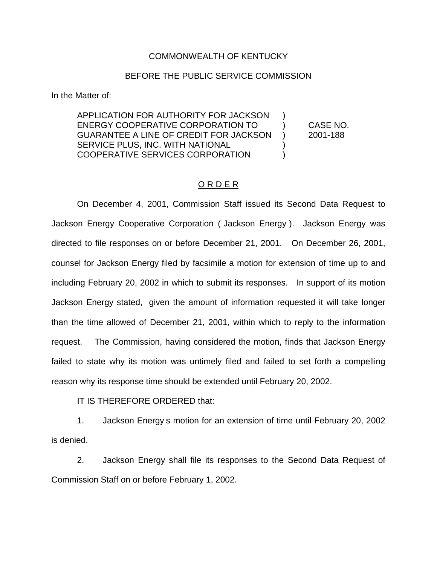## COMMONWEALTH OF KENTUCKY

## BEFORE THE PUBLIC SERVICE COMMISSION

In the Matter of:

APPLICATION FOR AUTHORITY FOR JACKSON ) ENERGY COOPERATIVE CORPORATION TO ) CASE NO. GUARANTEE A LINE OF CREDIT FOR JACKSON ) 2001-188 SERVICE PLUS, INC. WITH NATIONAL  $\qquad \qquad$ ) COOPERATIVE SERVICES CORPORATION )

## ORDER

On December 4, 2001, Commission Staff issued its Second Data Request to Jackson Energy Cooperative Corporation ( Jackson Energy ). Jackson Energy was directed to file responses on or before December 21, 2001. On December 26, 2001, counsel for Jackson Energy filed by facsimile a motion for extension of time up to and including February 20, 2002 in which to submit its responses. In support of its motion Jackson Energy stated, given the amount of information requested it will take longer than the time allowed of December 21, 2001, within which to reply to the information request. The Commission, having considered the motion, finds that Jackson Energy failed to state why its motion was untimely filed and failed to set forth a compelling reason why its response time should be extended until February 20, 2002.

IT IS THEREFORE ORDERED that:

1. Jackson Energy s motion for an extension of time until February 20, 2002 is denied.

2. Jackson Energy shall file its responses to the Second Data Request of Commission Staff on or before February 1, 2002.